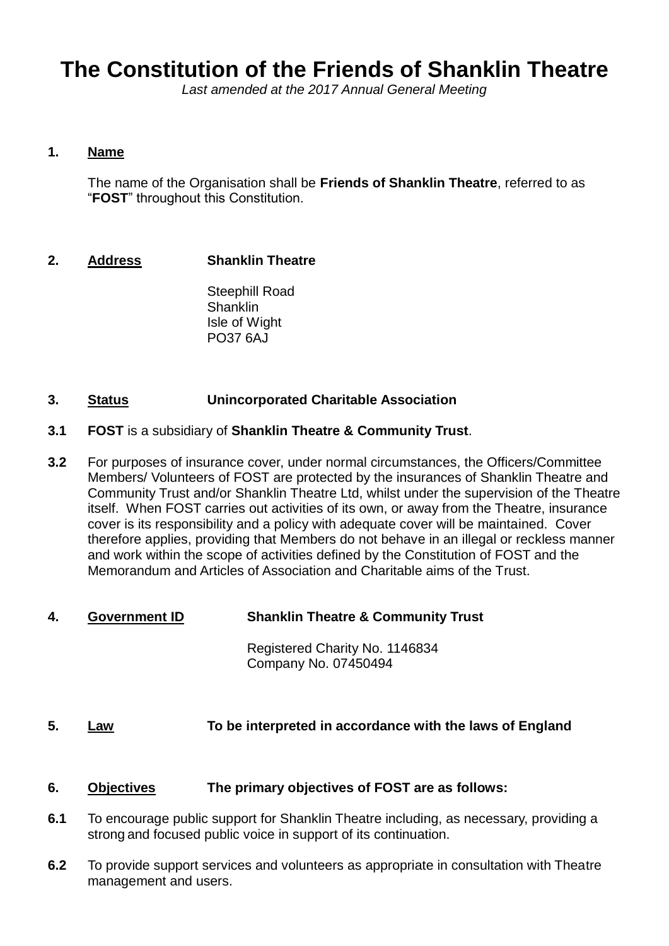# **The Constitution of the Friends of Shanklin Theatre**

*Last amended at the 2017 Annual General Meeting*

#### **1. Name**

The name of the Organisation shall be **Friends of Shanklin Theatre**, referred to as "**FOST**" throughout this Constitution.

## **2. Address Shanklin Theatre**

Steephill Road **Shanklin** Isle of Wight PO37 6AJ

## **3. Status Unincorporated Charitable Association**

- **3.1 FOST** is a subsidiary of **Shanklin Theatre & Community Trust**.
- **3.2** For purposes of insurance cover, under normal circumstances, the Officers/Committee Members/ Volunteers of FOST are protected by the insurances of Shanklin Theatre and Community Trust and/or Shanklin Theatre Ltd, whilst under the supervision of the Theatre itself. When FOST carries out activities of its own, or away from the Theatre, insurance cover is its responsibility and a policy with adequate cover will be maintained. Cover therefore applies, providing that Members do not behave in an illegal or reckless manner and work within the scope of activities defined by the Constitution of FOST and the Memorandum and Articles of Association and Charitable aims of the Trust.
- **4. Government ID Shanklin Theatre & Community Trust**

Registered Charity No. 1146834 Company No. 07450494

## **5. Law To be interpreted in accordance with the laws of England**

#### **6. Objectives The primary objectives of FOST are as follows:**

- **6.1** To encourage public support for Shanklin Theatre including, as necessary, providing a strong and focused public voice in support of its continuation.
- **6.2** To provide support services and volunteers as appropriate in consultation with Theatre management and users.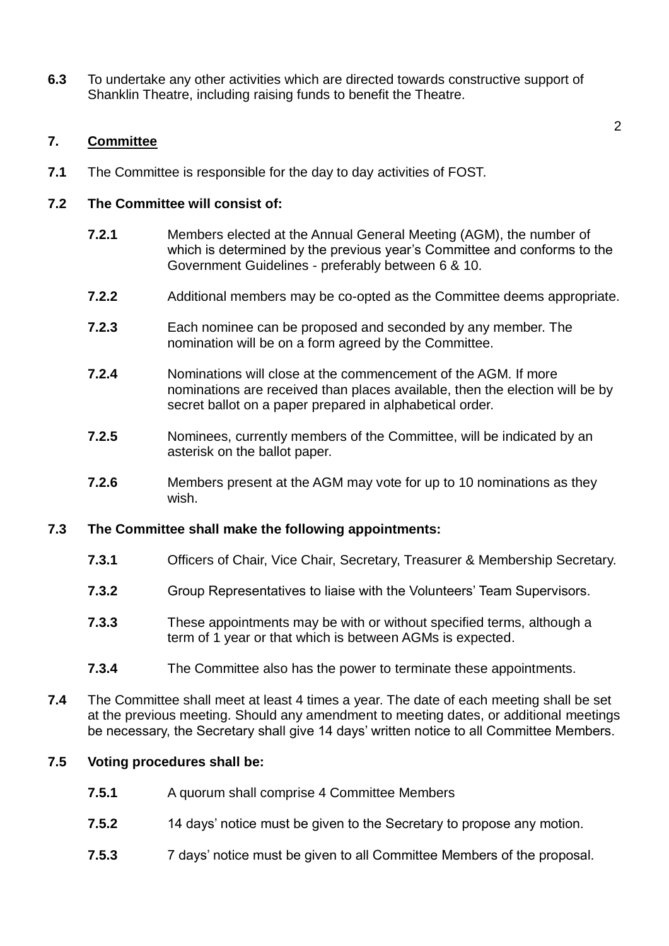**6.3** To undertake any other activities which are directed towards constructive support of Shanklin Theatre, including raising funds to benefit the Theatre.

## **7. Committee**

**7.1** The Committee is responsible for the day to day activities of FOST.

#### **7.2 The Committee will consist of:**

- **7.2.1** Members elected at the Annual General Meeting (AGM), the number of which is determined by the previous year's Committee and conforms to the Government Guidelines - preferably between 6 & 10.
- **7.2.2** Additional members may be co-opted as the Committee deems appropriate.
- **7.2.3** Each nominee can be proposed and seconded by any member. The nomination will be on a form agreed by the Committee.
- **7.2.4** Nominations will close at the commencement of the AGM. If more nominations are received than places available, then the election will be by secret ballot on a paper prepared in alphabetical order.
- **7.2.5** Nominees, currently members of the Committee, will be indicated by an asterisk on the ballot paper.
- **7.2.6** Members present at the AGM may vote for up to 10 nominations as they wish.

## **7.3 The Committee shall make the following appointments:**

- **7.3.1** Officers of Chair, Vice Chair, Secretary, Treasurer & Membership Secretary.
- **7.3.2** Group Representatives to liaise with the Volunteers' Team Supervisors.
- **7.3.3** These appointments may be with or without specified terms, although a term of 1 year or that which is between AGMs is expected.
- **7.3.4** The Committee also has the power to terminate these appointments.
- **7.4** The Committee shall meet at least 4 times a year. The date of each meeting shall be set at the previous meeting. Should any amendment to meeting dates, or additional meetings be necessary, the Secretary shall give 14 days' written notice to all Committee Members.

## **7.5 Voting procedures shall be:**

- **7.5.1** A quorum shall comprise 4 Committee Members
- **7.5.2** 14 days' notice must be given to the Secretary to propose any motion.
- **7.5.3** 7 days' notice must be given to all Committee Members of the proposal.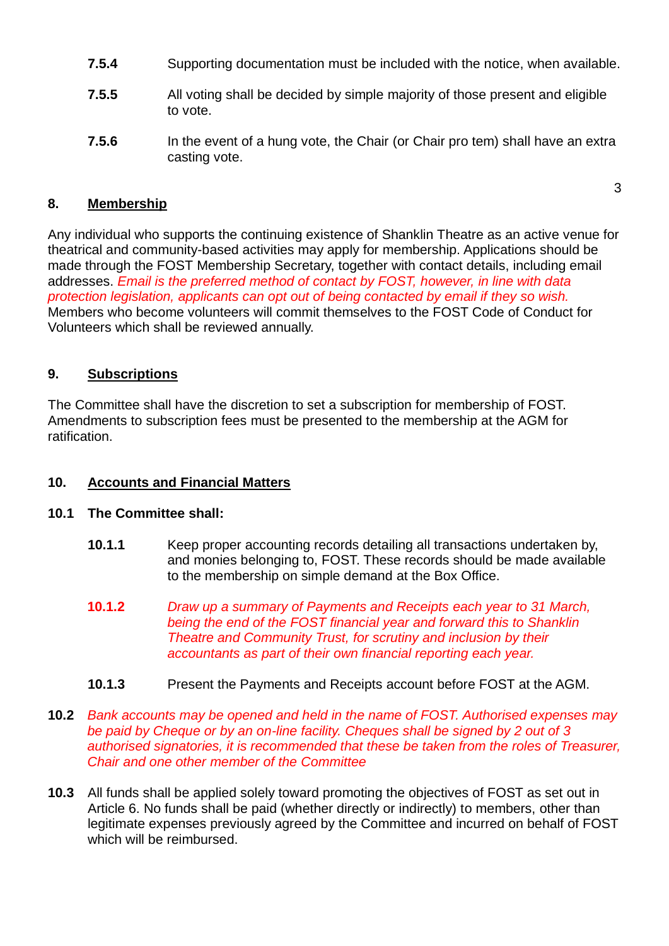- **7.5.4** Supporting documentation must be included with the notice, when available.
- **7.5.5** All voting shall be decided by simple majority of those present and eligible to vote.
- **7.5.6** In the event of a hung vote, the Chair (or Chair pro tem) shall have an extra casting vote.

3

## **8. Membership**

Any individual who supports the continuing existence of Shanklin Theatre as an active venue for theatrical and community-based activities may apply for membership. Applications should be made through the FOST Membership Secretary, together with contact details, including email addresses. *Email is the preferred method of contact by FOST, however, in line with data protection legislation, applicants can opt out of being contacted by email if they so wish.* Members who become volunteers will commit themselves to the FOST Code of Conduct for Volunteers which shall be reviewed annually.

# **9. Subscriptions**

The Committee shall have the discretion to set a subscription for membership of FOST. Amendments to subscription fees must be presented to the membership at the AGM for ratification.

# **10. Accounts and Financial Matters**

## **10.1 The Committee shall:**

- **10.1.1** Keep proper accounting records detailing all transactions undertaken by, and monies belonging to, FOST. These records should be made available to the membership on simple demand at the Box Office.
- **10.1.2** *Draw up a summary of Payments and Receipts each year to 31 March, being the end of the FOST financial year and forward this to Shanklin Theatre and Community Trust, for scrutiny and inclusion by their accountants as part of their own financial reporting each year.*
- **10.1.3** Present the Payments and Receipts account before FOST at the AGM.
- **10.2** *Bank accounts may be opened and held in the name of FOST. Authorised expenses may be paid by Cheque or by an on-line facility. Cheques shall be signed by 2 out of 3 authorised signatories, it is recommended that these be taken from the roles of Treasurer, Chair and one other member of the Committee*
- **10.3** All funds shall be applied solely toward promoting the objectives of FOST as set out in Article 6. No funds shall be paid (whether directly or indirectly) to members, other than legitimate expenses previously agreed by the Committee and incurred on behalf of FOST which will be reimbursed.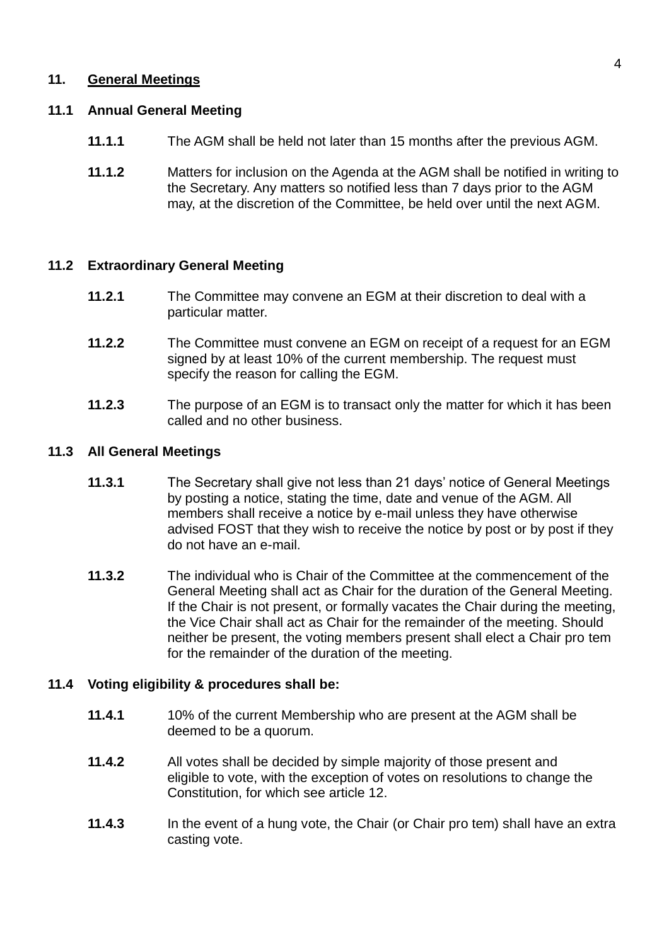## **11. General Meetings**

## **11.1 Annual General Meeting**

- **11.1.1** The AGM shall be held not later than 15 months after the previous AGM.
- **11.1.2** Matters for inclusion on the Agenda at the AGM shall be notified in writing to the Secretary. Any matters so notified less than 7 days prior to the AGM may, at the discretion of the Committee, be held over until the next AGM.

## **11.2 Extraordinary General Meeting**

- **11.2.1** The Committee may convene an EGM at their discretion to deal with a particular matter.
- **11.2.2** The Committee must convene an EGM on receipt of a request for an EGM signed by at least 10% of the current membership. The request must specify the reason for calling the EGM.
- **11.2.3** The purpose of an EGM is to transact only the matter for which it has been called and no other business.

## **11.3 All General Meetings**

- **11.3.1** The Secretary shall give not less than 21 days' notice of General Meetings by posting a notice, stating the time, date and venue of the AGM. All members shall receive a notice by e-mail unless they have otherwise advised FOST that they wish to receive the notice by post or by post if they do not have an e-mail.
- **11.3.2** The individual who is Chair of the Committee at the commencement of the General Meeting shall act as Chair for the duration of the General Meeting. If the Chair is not present, or formally vacates the Chair during the meeting, the Vice Chair shall act as Chair for the remainder of the meeting. Should neither be present, the voting members present shall elect a Chair pro tem for the remainder of the duration of the meeting.

# **11.4 Voting eligibility & procedures shall be:**

- **11.4.1** 10% of the current Membership who are present at the AGM shall be deemed to be a quorum.
- **11.4.2** All votes shall be decided by simple majority of those present and eligible to vote, with the exception of votes on resolutions to change the Constitution, for which see article 12.
- **11.4.3** In the event of a hung vote, the Chair (or Chair pro tem) shall have an extra casting vote.